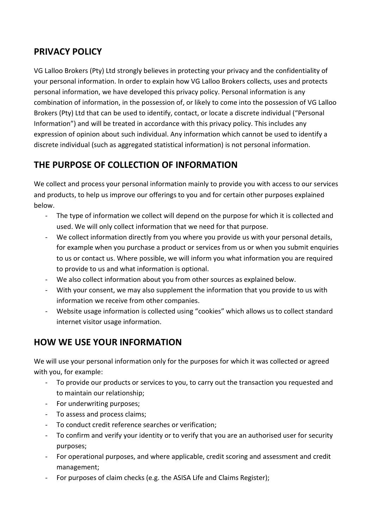## PRIVACY POLICY

VG Lalloo Brokers (Pty) Ltd strongly believes in protecting your privacy and the confidentiality of your personal information. In order to explain how VG Lalloo Brokers collects, uses and protects personal information, we have developed this privacy policy. Personal information is any combination of information, in the possession of, or likely to come into the possession of VG Lalloo Brokers (Pty) Ltd that can be used to identify, contact, or locate a discrete individual ("Personal Information") and will be treated in accordance with this privacy policy. This includes any expression of opinion about such individual. Any information which cannot be used to identify a discrete individual (such as aggregated statistical information) is not personal information.

# THE PURPOSE OF COLLECTION OF INFORMATION

We collect and process your personal information mainly to provide you with access to our services and products, to help us improve our offerings to you and for certain other purposes explained below.

- The type of information we collect will depend on the purpose for which it is collected and used. We will only collect information that we need for that purpose.
- We collect information directly from you where you provide us with your personal details, for example when you purchase a product or services from us or when you submit enquiries to us or contact us. Where possible, we will inform you what information you are required to provide to us and what information is optional.
- We also collect information about you from other sources as explained below.
- With your consent, we may also supplement the information that you provide to us with information we receive from other companies.
- Website usage information is collected using "cookies" which allows us to collect standard internet visitor usage information.

## HOW WE USE YOUR INFORMATION

We will use your personal information only for the purposes for which it was collected or agreed with you, for example:

- To provide our products or services to you, to carry out the transaction you requested and to maintain our relationship;
- For underwriting purposes;
- To assess and process claims;
- To conduct credit reference searches or verification;
- To confirm and verify your identity or to verify that you are an authorised user for security purposes;
- For operational purposes, and where applicable, credit scoring and assessment and credit management;
- For purposes of claim checks (e.g. the ASISA Life and Claims Register);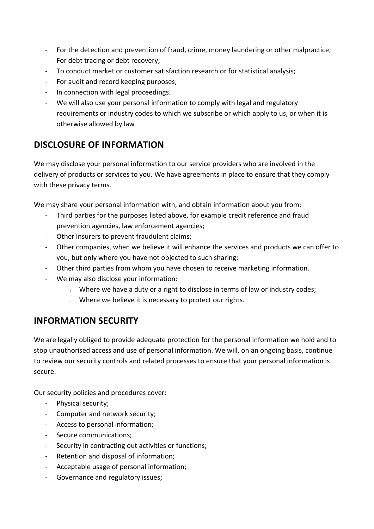- For the detection and prevention of fraud, crime, money laundering or other malpractice;
- For debt tracing or debt recovery;
- To conduct market or customer satisfaction research or for statistical analysis;
- For audit and record keeping purposes;
- In connection with legal proceedings.
- We will also use your personal information to comply with legal and regulatory requirements or industry codes to which we subscribe or which apply to us, or when it is otherwise allowed by law

### DISCLOSURE OF INFORMATION

We may disclose your personal information to our service providers who are involved in the delivery of products or services to you. We have agreements in place to ensure that they comply with these privacy terms.

We may share your personal information with, and obtain information about you from:

- Third parties for the purposes listed above, for example credit reference and fraud prevention agencies, law enforcement agencies;
- Other insurers to prevent fraudulent claims;
- Other companies, when we believe it will enhance the services and products we can offer to you, but only where you have not objected to such sharing;
- Other third parties from whom you have chosen to receive marketing information.
- We may also disclose your information:
	- o Where we have a duty or a right to disclose in terms of law or industry codes;
	- o Where we believe it is necessary to protect our rights.

#### INFORMATION SECURITY

We are legally obliged to provide adequate protection for the personal information we hold and to stop unauthorised access and use of personal information. We will, on an ongoing basis, continue to review our security controls and related processes to ensure that your personal information is secure.

Our security policies and procedures cover:

- Physical security;
- Computer and network security;
- Access to personal information;
- Secure communications;
- Security in contracting out activities or functions;
- Retention and disposal of information;
- Acceptable usage of personal information;
- Governance and regulatory issues;